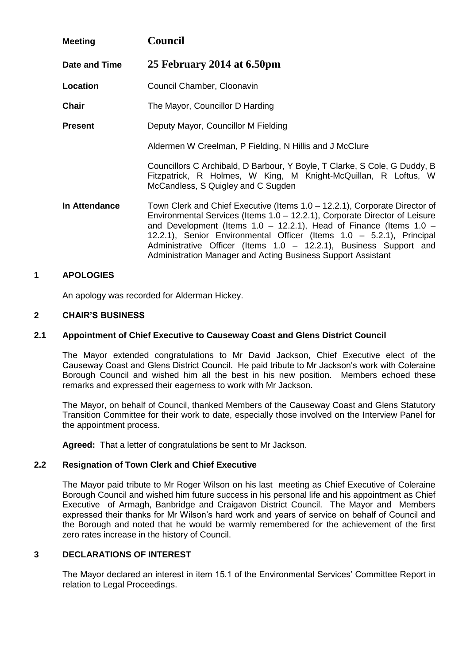| <b>Meeting</b> | <b>Council</b>                                                                                                                                                                                                                                                                                                                                                                                                                                      |  |
|----------------|-----------------------------------------------------------------------------------------------------------------------------------------------------------------------------------------------------------------------------------------------------------------------------------------------------------------------------------------------------------------------------------------------------------------------------------------------------|--|
| Date and Time  | 25 February 2014 at 6.50pm                                                                                                                                                                                                                                                                                                                                                                                                                          |  |
| Location       | Council Chamber, Cloonavin                                                                                                                                                                                                                                                                                                                                                                                                                          |  |
| <b>Chair</b>   | The Mayor, Councillor D Harding                                                                                                                                                                                                                                                                                                                                                                                                                     |  |
| <b>Present</b> | Deputy Mayor, Councillor M Fielding                                                                                                                                                                                                                                                                                                                                                                                                                 |  |
|                | Aldermen W Creelman, P Fielding, N Hillis and J McClure                                                                                                                                                                                                                                                                                                                                                                                             |  |
|                | Councillors C Archibald, D Barbour, Y Boyle, T Clarke, S Cole, G Duddy, B<br>Fitzpatrick, R Holmes, W King, M Knight-McQuillan, R Loftus, W<br>McCandless, S Quigley and C Sugden                                                                                                                                                                                                                                                                   |  |
| In Attendance  | Town Clerk and Chief Executive (Items 1.0 – 12.2.1), Corporate Director of<br>Environmental Services (Items 1.0 - 12.2.1), Corporate Director of Leisure<br>and Development (Items $1.0 - 12.2.1$ ), Head of Finance (Items $1.0 -$<br>12.2.1), Senior Environmental Officer (Items 1.0 - 5.2.1), Principal<br>Administrative Officer (Items $1.0 - 12.2.1$ ), Business Support and<br>Administration Manager and Acting Business Support Assistant |  |

# **1 APOLOGIES**

An apology was recorded for Alderman Hickey.

## **2 CHAIR'S BUSINESS**

## **2.1 Appointment of Chief Executive to Causeway Coast and Glens District Council**

The Mayor extended congratulations to Mr David Jackson, Chief Executive elect of the Causeway Coast and Glens District Council. He paid tribute to Mr Jackson's work with Coleraine Borough Council and wished him all the best in his new position.Members echoed these remarks and expressed their eagerness to work with Mr Jackson.

The Mayor, on behalf of Council, thanked Members of the Causeway Coast and Glens Statutory Transition Committee for their work to date, especially those involved on the Interview Panel for the appointment process.

**Agreed:** That a letter of congratulations be sent to Mr Jackson.

#### **2.2 Resignation of Town Clerk and Chief Executive**

The Mayor paid tribute to Mr Roger Wilson on his last meeting as Chief Executive of Coleraine Borough Council and wished him future success in his personal life and his appointment as Chief Executive of Armagh, Banbridge and Craigavon District Council. The Mayor and Members expressed their thanks for Mr Wilson's hard work and years of service on behalf of Council and the Borough and noted that he would be warmly remembered for the achievement of the first zero rates increase in the history of Council.

# **3 DECLARATIONS OF INTEREST**

The Mayor declared an interest in item 15.1 of the Environmental Services' Committee Report in relation to Legal Proceedings.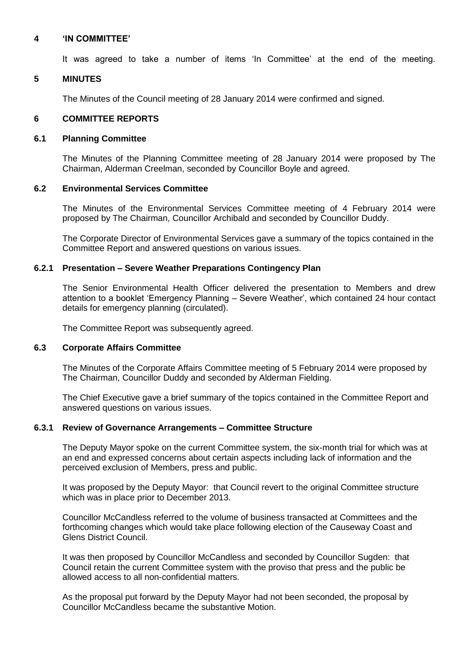## **4 'IN COMMITTEE'**

It was agreed to take a number of items 'In Committee' at the end of the meeting.

## **5 MINUTES**

The Minutes of the Council meeting of 28 January 2014 were confirmed and signed.

## **6 COMMITTEE REPORTS**

#### **6.1 Planning Committee**

The Minutes of the Planning Committee meeting of 28 January 2014 were proposed by The Chairman, Alderman Creelman, seconded by Councillor Boyle and agreed.

## **6.2 Environmental Services Committee**

The Minutes of the Environmental Services Committee meeting of 4 February 2014 were proposed by The Chairman, Councillor Archibald and seconded by Councillor Duddy.

The Corporate Director of Environmental Services gave a summary of the topics contained in the Committee Report and answered questions on various issues.

## **6.2.1 Presentation – Severe Weather Preparations Contingency Plan**

The Senior Environmental Health Officer delivered the presentation to Members and drew attention to a booklet 'Emergency Planning – Severe Weather', which contained 24 hour contact details for emergency planning (circulated).

The Committee Report was subsequently agreed.

#### **6.3 Corporate Affairs Committee**

The Minutes of the Corporate Affairs Committee meeting of 5 February 2014 were proposed by The Chairman, Councillor Duddy and seconded by Alderman Fielding.

The Chief Executive gave a brief summary of the topics contained in the Committee Report and answered questions on various issues.

# **6.3.1 Review of Governance Arrangements – Committee Structure**

The Deputy Mayor spoke on the current Committee system, the six-month trial for which was at an end and expressed concerns about certain aspects including lack of information and the perceived exclusion of Members, press and public.

It was proposed by the Deputy Mayor: that Council revert to the original Committee structure which was in place prior to December 2013.

Councillor McCandless referred to the volume of business transacted at Committees and the forthcoming changes which would take place following election of the Causeway Coast and Glens District Council.

It was then proposed by Councillor McCandless and seconded by Councillor Sugden: that Council retain the current Committee system with the proviso that press and the public be allowed access to all non-confidential matters.

As the proposal put forward by the Deputy Mayor had not been seconded, the proposal by Councillor McCandless became the substantive Motion.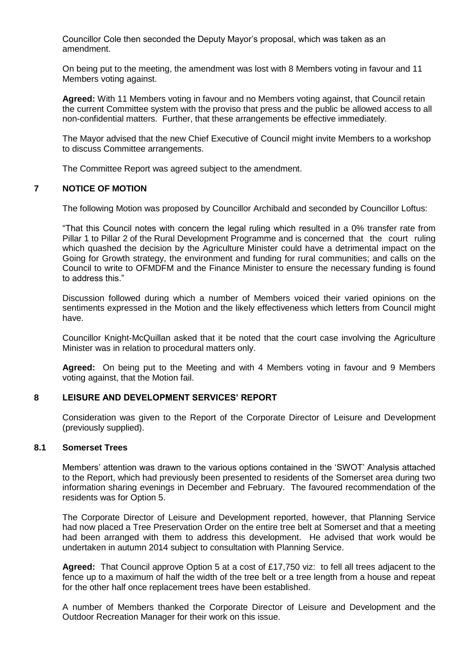Councillor Cole then seconded the Deputy Mayor's proposal, which was taken as an amendment.

On being put to the meeting, the amendment was lost with 8 Members voting in favour and 11 Members voting against.

**Agreed:** With 11 Members voting in favour and no Members voting against, that Council retain the current Committee system with the proviso that press and the public be allowed access to all non-confidential matters. Further, that these arrangements be effective immediately.

The Mayor advised that the new Chief Executive of Council might invite Members to a workshop to discuss Committee arrangements.

The Committee Report was agreed subject to the amendment.

# **7 NOTICE OF MOTION**

The following Motion was proposed by Councillor Archibald and seconded by Councillor Loftus:

"That this Council notes with concern the legal ruling which resulted in a 0% transfer rate from Pillar 1 to Pillar 2 of the Rural Development Programme and is concerned that the court ruling which quashed the decision by the Agriculture Minister could have a detrimental impact on the Going for Growth strategy, the environment and funding for rural communities; and calls on the Council to write to OFMDFM and the Finance Minister to ensure the necessary funding is found to address this."

Discussion followed during which a number of Members voiced their varied opinions on the sentiments expressed in the Motion and the likely effectiveness which letters from Council might have.

Councillor Knight-McQuillan asked that it be noted that the court case involving the Agriculture Minister was in relation to procedural matters only.

**Agreed:** On being put to the Meeting and with 4 Members voting in favour and 9 Members voting against, that the Motion fail.

#### **8 LEISURE AND DEVELOPMENT SERVICES' REPORT**

Consideration was given to the Report of the Corporate Director of Leisure and Development (previously supplied).

## **8.1 Somerset Trees**

Members' attention was drawn to the various options contained in the 'SWOT' Analysis attached to the Report, which had previously been presented to residents of the Somerset area during two information sharing evenings in December and February. The favoured recommendation of the residents was for Option 5.

The Corporate Director of Leisure and Development reported, however, that Planning Service had now placed a Tree Preservation Order on the entire tree belt at Somerset and that a meeting had been arranged with them to address this development. He advised that work would be undertaken in autumn 2014 subject to consultation with Planning Service.

**Agreed:** That Council approve Option 5 at a cost of £17,750 viz: to fell all trees adjacent to the fence up to a maximum of half the width of the tree belt or a tree length from a house and repeat for the other half once replacement trees have been established.

A number of Members thanked the Corporate Director of Leisure and Development and the Outdoor Recreation Manager for their work on this issue.